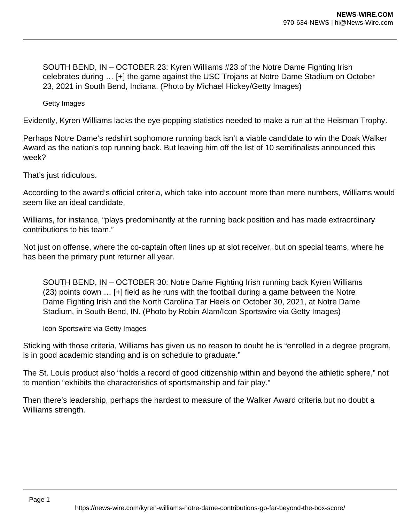SOUTH BEND, IN – OCTOBER 23: Kyren Williams #23 of the Notre Dame Fighting Irish celebrates during … [+] the game against the USC Trojans at Notre Dame Stadium on October 23, 2021 in South Bend, Indiana. (Photo by Michael Hickey/Getty Images)

Getty Images

Evidently, Kyren Williams lacks the eye-popping statistics needed to make a run at the Heisman Trophy.

Perhaps Notre Dame's redshirt sophomore running back isn't a viable candidate to win the Doak Walker Award as the nation's top running back. But leaving him off the list of 10 semifinalists announced this week?

That's just ridiculous.

According to the award's official criteria, which take into account more than mere numbers, Williams would seem like an ideal candidate.

Williams, for instance, "plays predominantly at the running back position and has made extraordinary contributions to his team."

Not just on offense, where the co-captain often lines up at slot receiver, but on special teams, where he has been the primary punt returner all year.

SOUTH BEND, IN – OCTOBER 30: Notre Dame Fighting Irish running back Kyren Williams (23) points down … [+] field as he runs with the football during a game between the Notre Dame Fighting Irish and the North Carolina Tar Heels on October 30, 2021, at Notre Dame Stadium, in South Bend, IN. (Photo by Robin Alam/Icon Sportswire via Getty Images)

Icon Sportswire via Getty Images

Sticking with those criteria, Williams has given us no reason to doubt he is "enrolled in a degree program, is in good academic standing and is on schedule to graduate."

The St. Louis product also "holds a record of good citizenship within and beyond the athletic sphere," not to mention "exhibits the characteristics of sportsmanship and fair play."

Then there's leadership, perhaps the hardest to measure of the Walker Award criteria but no doubt a Williams strength.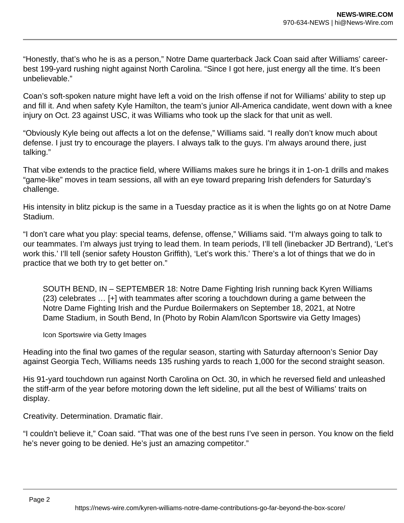"Honestly, that's who he is as a person," Notre Dame quarterback Jack Coan said after Williams' careerbest 199-yard rushing night against North Carolina. "Since I got here, just energy all the time. It's been unbelievable."

Coan's soft-spoken nature might have left a void on the Irish offense if not for Williams' ability to step up and fill it. And when safety Kyle Hamilton, the team's junior All-America candidate, went down with a knee injury on Oct. 23 against USC, it was Williams who took up the slack for that unit as well.

"Obviously Kyle being out affects a lot on the defense," Williams said. "I really don't know much about defense. I just try to encourage the players. I always talk to the guys. I'm always around there, just talking."

That vibe extends to the practice field, where Williams makes sure he brings it in 1-on-1 drills and makes "game-like" moves in team sessions, all with an eye toward preparing Irish defenders for Saturday's challenge.

His intensity in blitz pickup is the same in a Tuesday practice as it is when the lights go on at Notre Dame Stadium.

"I don't care what you play: special teams, defense, offense," Williams said. "I'm always going to talk to our teammates. I'm always just trying to lead them. In team periods, I'll tell (linebacker JD Bertrand), 'Let's work this.' I'll tell (senior safety Houston Griffith), 'Let's work this.' There's a lot of things that we do in practice that we both try to get better on."

SOUTH BEND, IN – SEPTEMBER 18: Notre Dame Fighting Irish running back Kyren Williams (23) celebrates … [+] with teammates after scoring a touchdown during a game between the Notre Dame Fighting Irish and the Purdue Boilermakers on September 18, 2021, at Notre Dame Stadium, in South Bend, In (Photo by Robin Alam/Icon Sportswire via Getty Images)

Icon Sportswire via Getty Images

Heading into the final two games of the regular season, starting with Saturday afternoon's Senior Day against Georgia Tech, Williams needs 135 rushing yards to reach 1,000 for the second straight season.

His 91-yard touchdown run against North Carolina on Oct. 30, in which he reversed field and unleashed the stiff-arm of the year before motoring down the left sideline, put all the best of Williams' traits on display.

Creativity. Determination. Dramatic flair.

"I couldn't believe it," Coan said. "That was one of the best runs I've seen in person. You know on the field he's never going to be denied. He's just an amazing competitor."